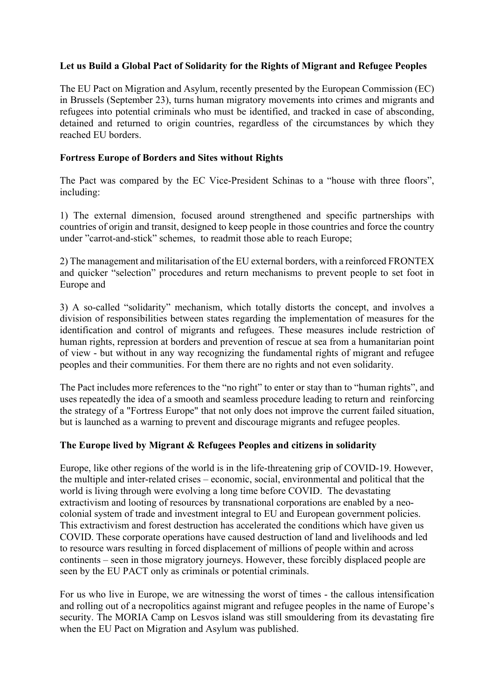# **Let us Build a Global Pact of Solidarity for the Rights of Migrant and Refugee Peoples**

The EU Pact on Migration and Asylum, recently presented by the European Commission (EC) in Brussels (September 23), turns human migratory movements into crimes and migrants and refugees into potential criminals who must be identified, and tracked in case of absconding, detained and returned to origin countries, regardless of the circumstances by which they reached EU borders.

#### **Fortress Europe of Borders and Sites without Rights**

The Pact was compared by the EC Vice-President Schinas to a "house with three floors", including:

1) The external dimension, focused around strengthened and specific partnerships with countries of origin and transit, designed to keep people in those countries and force the country under "carrot-and-stick" schemes, to readmit those able to reach Europe;

2) The management and militarisation of the EU external borders, with a reinforced FRONTEX and quicker "selection" procedures and return mechanisms to prevent people to set foot in Europe and

3) A so-called "solidarity" mechanism, which totally distorts the concept, and involves a division of responsibilities between states regarding the implementation of measures for the identification and control of migrants and refugees. These measures include restriction of human rights, repression at borders and prevention of rescue at sea from a humanitarian point of view - but without in any way recognizing the fundamental rights of migrant and refugee peoples and their communities. For them there are no rights and not even solidarity.

The Pact includes more references to the "no right" to enter or stay than to "human rights", and uses repeatedly the idea of a smooth and seamless procedure leading to return and reinforcing the strategy of a "Fortress Europe" that not only does not improve the current failed situation, but is launched as a warning to prevent and discourage migrants and refugee peoples.

#### **The Europe lived by Migrant & Refugees Peoples and citizens in solidarity**

Europe, like other regions of the world is in the life-threatening grip of COVID-19. However, the multiple and inter-related crises – economic, social, environmental and political that the world is living through were evolving a long time before COVID. The devastating extractivism and looting of resources by transnational corporations are enabled by a neocolonial system of trade and investment integral to EU and European government policies. This extractivism and forest destruction has accelerated the conditions which have given us COVID. These corporate operations have caused destruction of land and livelihoods and led to resource wars resulting in forced displacement of millions of people within and across continents – seen in those migratory journeys. However, these forcibly displaced people are seen by the EU PACT only as criminals or potential criminals.

For us who live in Europe, we are witnessing the worst of times - the callous intensification and rolling out of a necropolitics against migrant and refugee peoples in the name of Europe's security. The MORIA Camp on Lesvos island was still smouldering from its devastating fire when the EU Pact on Migration and Asylum was published.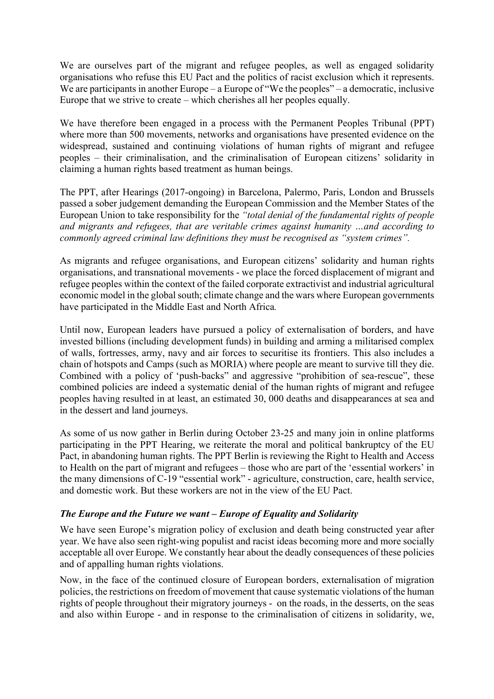We are ourselves part of the migrant and refugee peoples, as well as engaged solidarity organisations who refuse this EU Pact and the politics of racist exclusion which it represents. We are participants in another Europe – a Europe of "We the peoples" – a democratic, inclusive Europe that we strive to create – which cherishes all her peoples equally.

We have therefore been engaged in a process with the Permanent Peoples Tribunal (PPT) where more than 500 movements, networks and organisations have presented evidence on the widespread, sustained and continuing violations of human rights of migrant and refugee peoples – their criminalisation, and the criminalisation of European citizens' solidarity in claiming a human rights based treatment as human beings.

The PPT, after Hearings (2017-ongoing) in Barcelona, Palermo, Paris, London and Brussels passed a sober judgement demanding the European Commission and the Member States of the European Union to take responsibility for the *"total denial of the fundamental rights of people and migrants and refugees, that are veritable crimes against humanity …and according to commonly agreed criminal law definitions they must be recognised as "system crimes".* 

As migrants and refugee organisations, and European citizens' solidarity and human rights organisations, and transnational movements - we place the forced displacement of migrant and refugee peoples within the context of the failed corporate extractivist and industrial agricultural economic model in the global south; climate change and the wars where European governments have participated in the Middle East and North Africa*.*

Until now, European leaders have pursued a policy of externalisation of borders, and have invested billions (including development funds) in building and arming a militarised complex of walls, fortresses, army, navy and air forces to securitise its frontiers. This also includes a chain of hotspots and Camps (such as MORIA) where people are meant to survive till they die. Combined with a policy of 'push-backs" and aggressive "prohibition of sea-rescue", these combined policies are indeed a systematic denial of the human rights of migrant and refugee peoples having resulted in at least, an estimated 30, 000 deaths and disappearances at sea and in the dessert and land journeys.

As some of us now gather in Berlin during October 23-25 and many join in online platforms participating in the PPT Hearing, we reiterate the moral and political bankruptcy of the EU Pact, in abandoning human rights. The PPT Berlin is reviewing the Right to Health and Access to Health on the part of migrant and refugees – those who are part of the 'essential workers' in the many dimensions of C-19 "essential work" - agriculture, construction, care, health service, and domestic work. But these workers are not in the view of the EU Pact.

# *The Europe and the Future we want – Europe of Equality and Solidarity*

We have seen Europe's migration policy of exclusion and death being constructed year after year. We have also seen right-wing populist and racist ideas becoming more and more socially acceptable all over Europe. We constantly hear about the deadly consequences of these policies and of appalling human rights violations.

Now, in the face of the continued closure of European borders, externalisation of migration policies, the restrictions on freedom of movement that cause systematic violations of the human rights of people throughout their migratory journeys - on the roads, in the desserts, on the seas and also within Europe - and in response to the criminalisation of citizens in solidarity, we,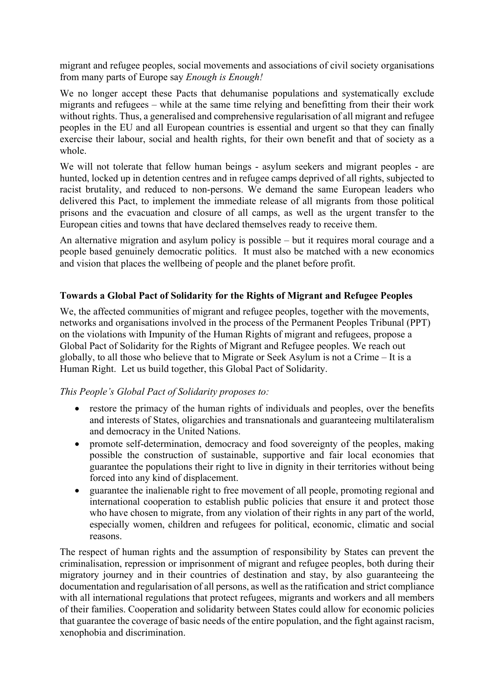migrant and refugee peoples, social movements and associations of civil society organisations from many parts of Europe say *Enough is Enough!* 

We no longer accept these Pacts that dehumanise populations and systematically exclude migrants and refugees – while at the same time relying and benefitting from their their work without rights. Thus, a generalised and comprehensive regularisation of all migrant and refugee peoples in the EU and all European countries is essential and urgent so that they can finally exercise their labour, social and health rights, for their own benefit and that of society as a whole.

We will not tolerate that fellow human beings - asylum seekers and migrant peoples - are hunted, locked up in detention centres and in refugee camps deprived of all rights, subjected to racist brutality, and reduced to non-persons. We demand the same European leaders who delivered this Pact, to implement the immediate release of all migrants from those political prisons and the evacuation and closure of all camps, as well as the urgent transfer to the European cities and towns that have declared themselves ready to receive them.

An alternative migration and asylum policy is possible – but it requires moral courage and a people based genuinely democratic politics. It must also be matched with a new economics and vision that places the wellbeing of people and the planet before profit.

#### **Towards a Global Pact of Solidarity for the Rights of Migrant and Refugee Peoples**

We, the affected communities of migrant and refugee peoples, together with the movements, networks and organisations involved in the process of the Permanent Peoples Tribunal (PPT) on the violations with Impunity of the Human Rights of migrant and refugees, propose a Global Pact of Solidarity for the Rights of Migrant and Refugee peoples. We reach out globally, to all those who believe that to Migrate or Seek Asylum is not a Crime – It is a Human Right. Let us build together, this Global Pact of Solidarity.

# *This People's Global Pact of Solidarity proposes to:*

- restore the primacy of the human rights of individuals and peoples, over the benefits and interests of States, oligarchies and transnationals and guaranteeing multilateralism and democracy in the United Nations.
- promote self-determination, democracy and food sovereignty of the peoples, making possible the construction of sustainable, supportive and fair local economies that guarantee the populations their right to live in dignity in their territories without being forced into any kind of displacement.
- guarantee the inalienable right to free movement of all people, promoting regional and international cooperation to establish public policies that ensure it and protect those who have chosen to migrate, from any violation of their rights in any part of the world, especially women, children and refugees for political, economic, climatic and social reasons.

The respect of human rights and the assumption of responsibility by States can prevent the criminalisation, repression or imprisonment of migrant and refugee peoples, both during their migratory journey and in their countries of destination and stay, by also guaranteeing the documentation and regularisation of all persons, as well as the ratification and strict compliance with all international regulations that protect refugees, migrants and workers and all members of their families. Cooperation and solidarity between States could allow for economic policies that guarantee the coverage of basic needs of the entire population, and the fight against racism, xenophobia and discrimination.